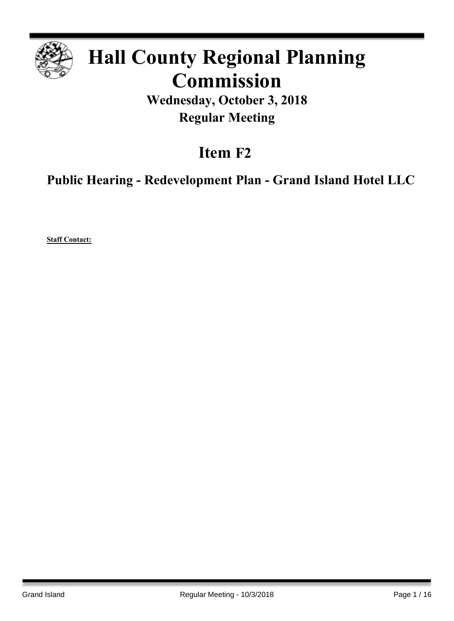

# **Hall County Regional Planning Commission**

**Wednesday, October 3, 2018 Regular Meeting**

## **Item F2**

**Public Hearing - Redevelopment Plan - Grand Island Hotel LLC**

**Staff Contact:**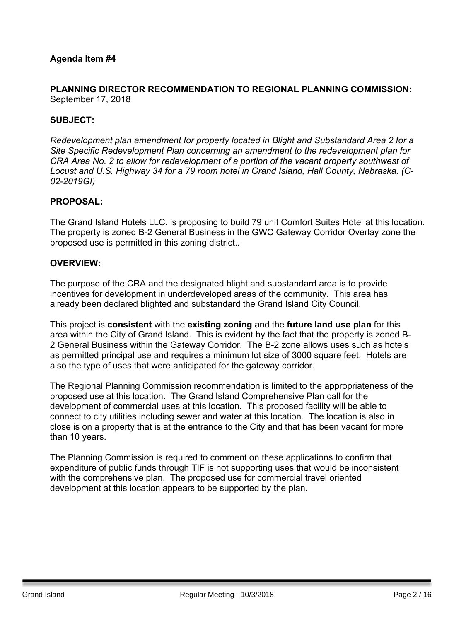## **PLANNING DIRECTOR RECOMMENDATION TO REGIONAL PLANNING COMMISSION:** September 17, 2018

## **SUBJECT:**

*Redevelopment plan amendment for property located in Blight and Substandard Area 2 for a Site Specific Redevelopment Plan concerning an amendment to the redevelopment plan for CRA Area No. 2 to allow for redevelopment of a portion of the vacant property southwest of Locust and U.S. Highway 34 for a 79 room hotel in Grand Island, Hall County, Nebraska. (C-02-2019GI)*

## **PROPOSAL:**

The Grand Island Hotels LLC. is proposing to build 79 unit Comfort Suites Hotel at this location. The property is zoned B-2 General Business in the GWC Gateway Corridor Overlay zone the proposed use is permitted in this zoning district..

## **OVERVIEW:**

The purpose of the CRA and the designated blight and substandard area is to provide incentives for development in underdeveloped areas of the community. This area has already been declared blighted and substandard the Grand Island City Council.

This project is **consistent** with the **existing zoning** and the **future land use plan** for this area within the City of Grand Island. This is evident by the fact that the property is zoned B-2 General Business within the Gateway Corridor. The B-2 zone allows uses such as hotels as permitted principal use and requires a minimum lot size of 3000 square feet. Hotels are also the type of uses that were anticipated for the gateway corridor.

The Regional Planning Commission recommendation is limited to the appropriateness of the proposed use at this location. The Grand Island Comprehensive Plan call for the development of commercial uses at this location. This proposed facility will be able to connect to city utilities including sewer and water at this location. The location is also in close is on a property that is at the entrance to the City and that has been vacant for more than 10 years.

The Planning Commission is required to comment on these applications to confirm that expenditure of public funds through TIF is not supporting uses that would be inconsistent with the comprehensive plan. The proposed use for commercial travel oriented development at this location appears to be supported by the plan.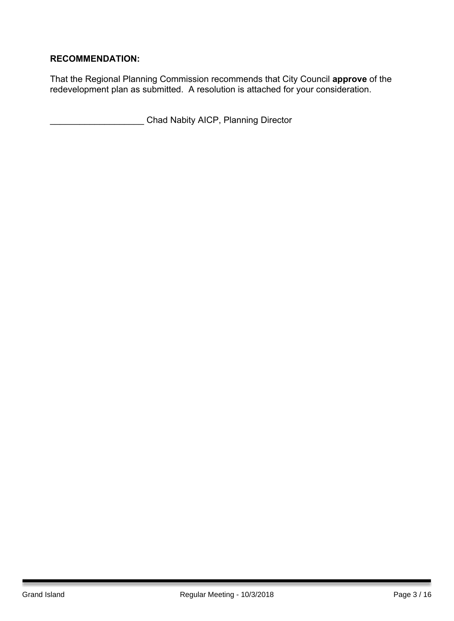## **RECOMMENDATION:**

That the Regional Planning Commission recommends that City Council **approve** of the redevelopment plan as submitted. A resolution is attached for your consideration.

\_\_\_\_\_\_\_\_\_\_\_\_\_\_\_\_\_\_\_ Chad Nabity AICP, Planning Director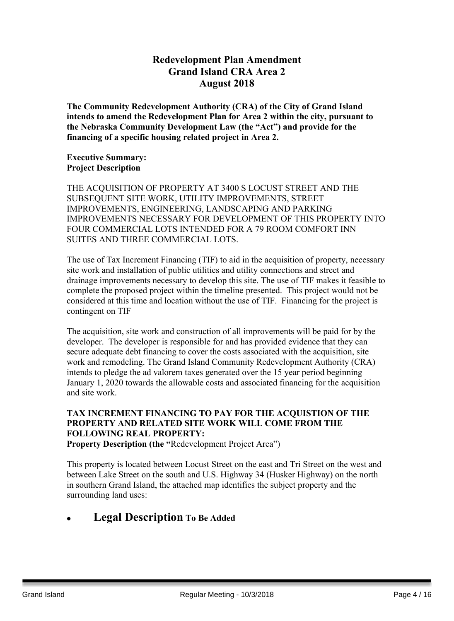## **Redevelopment Plan Amendment Grand Island CRA Area 2 August 2018**

**The Community Redevelopment Authority (CRA) of the City of Grand Island intends to amend the Redevelopment Plan for Area 2 within the city, pursuant to the Nebraska Community Development Law (the "Act") and provide for the financing of a specific housing related project in Area 2.**

## **Executive Summary: Project Description**

THE ACQUISITION OF PROPERTY AT 3400 S LOCUST STREET AND THE SUBSEQUENT SITE WORK, UTILITY IMPROVEMENTS, STREET IMPROVEMENTS, ENGINEERING, LANDSCAPING AND PARKING IMPROVEMENTS NECESSARY FOR DEVELOPMENT OF THIS PROPERTY INTO FOUR COMMERCIAL LOTS INTENDED FOR A 79 ROOM COMFORT INN SUITES AND THREE COMMERCIAL LOTS.

The use of Tax Increment Financing (TIF) to aid in the acquisition of property, necessary site work and installation of public utilities and utility connections and street and drainage improvements necessary to develop this site. The use of TIF makes it feasible to complete the proposed project within the timeline presented. This project would not be considered at this time and location without the use of TIF. Financing for the project is contingent on TIF

The acquisition, site work and construction of all improvements will be paid for by the developer. The developer is responsible for and has provided evidence that they can secure adequate debt financing to cover the costs associated with the acquisition, site work and remodeling. The Grand Island Community Redevelopment Authority (CRA) intends to pledge the ad valorem taxes generated over the 15 year period beginning January 1, 2020 towards the allowable costs and associated financing for the acquisition and site work.

## **TAX INCREMENT FINANCING TO PAY FOR THE ACQUISTION OF THE PROPERTY AND RELATED SITE WORK WILL COME FROM THE FOLLOWING REAL PROPERTY:**

**Property Description (the "**Redevelopment Project Area")

This property is located between Locust Street on the east and Tri Street on the west and between Lake Street on the south and U.S. Highway 34 (Husker Highway) on the north in southern Grand Island, the attached map identifies the subject property and the surrounding land uses:

## **Legal Description To Be Added**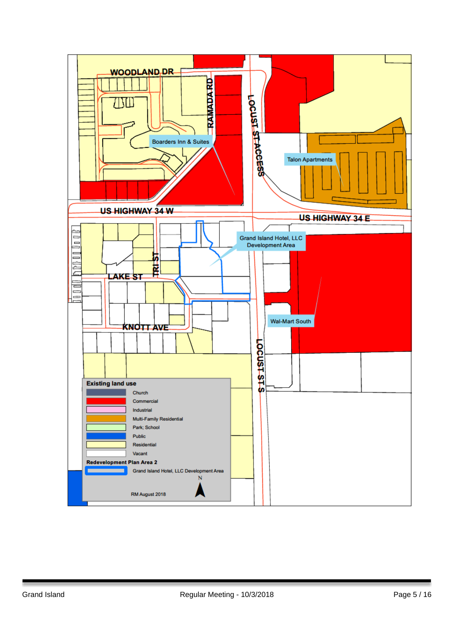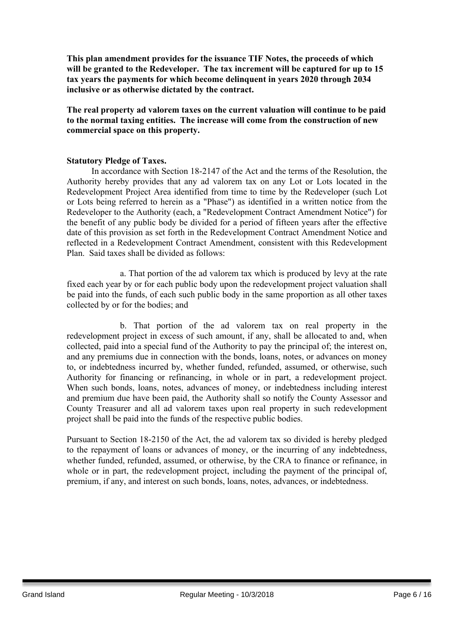**This plan amendment provides for the issuance TIF Notes, the proceeds of which will be granted to the Redeveloper. The tax increment will be captured for up to 15 tax years the payments for which become delinquent in years 2020 through 2034 inclusive or as otherwise dictated by the contract.**

**The real property ad valorem taxes on the current valuation will continue to be paid to the normal taxing entities. The increase will come from the construction of new commercial space on this property.**

## **Statutory Pledge of Taxes.**

In accordance with Section 18-2147 of the Act and the terms of the Resolution, the Authority hereby provides that any ad valorem tax on any Lot or Lots located in the Redevelopment Project Area identified from time to time by the Redeveloper (such Lot or Lots being referred to herein as a "Phase") as identified in a written notice from the Redeveloper to the Authority (each, a "Redevelopment Contract Amendment Notice") for the benefit of any public body be divided for a period of fifteen years after the effective date of this provision as set forth in the Redevelopment Contract Amendment Notice and reflected in a Redevelopment Contract Amendment, consistent with this Redevelopment Plan. Said taxes shall be divided as follows:

a. That portion of the ad valorem tax which is produced by levy at the rate fixed each year by or for each public body upon the redevelopment project valuation shall be paid into the funds, of each such public body in the same proportion as all other taxes collected by or for the bodies; and

b. That portion of the ad valorem tax on real property in the redevelopment project in excess of such amount, if any, shall be allocated to and, when collected, paid into a special fund of the Authority to pay the principal of; the interest on, and any premiums due in connection with the bonds, loans, notes, or advances on money to, or indebtedness incurred by, whether funded, refunded, assumed, or otherwise, such Authority for financing or refinancing, in whole or in part, a redevelopment project. When such bonds, loans, notes, advances of money, or indebtedness including interest and premium due have been paid, the Authority shall so notify the County Assessor and County Treasurer and all ad valorem taxes upon real property in such redevelopment project shall be paid into the funds of the respective public bodies.

Pursuant to Section 18-2150 of the Act, the ad valorem tax so divided is hereby pledged to the repayment of loans or advances of money, or the incurring of any indebtedness, whether funded, refunded, assumed, or otherwise, by the CRA to finance or refinance, in whole or in part, the redevelopment project, including the payment of the principal of, premium, if any, and interest on such bonds, loans, notes, advances, or indebtedness.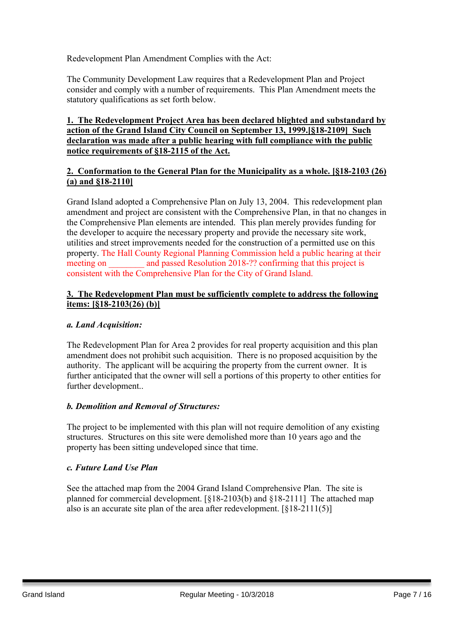Redevelopment Plan Amendment Complies with the Act:

The Community Development Law requires that a Redevelopment Plan and Project consider and comply with a number of requirements. This Plan Amendment meets the statutory qualifications as set forth below.

## **1. The Redevelopment Project Area has been declared blighted and substandard by action of the Grand Island City Council on September 13, 1999.[§18-2109] Such declaration was made after a public hearing with full compliance with the public notice requirements of §18-2115 of the Act.**

## **2. Conformation to the General Plan for the Municipality as a whole. [§18-2103 (26) (a) and §18-2110]**

Grand Island adopted a Comprehensive Plan on July 13, 2004. This redevelopment plan amendment and project are consistent with the Comprehensive Plan, in that no changes in the Comprehensive Plan elements are intended. This plan merely provides funding for the developer to acquire the necessary property and provide the necessary site work, utilities and street improvements needed for the construction of a permitted use on this property. The Hall County Regional Planning Commission held a public hearing at their meeting on and passed Resolution 2018-?? confirming that this project is consistent with the Comprehensive Plan for the City of Grand Island.

## **3. The Redevelopment Plan must be sufficiently complete to address the following items: [§18-2103(26) (b)]**

## *a. Land Acquisition:*

The Redevelopment Plan for Area 2 provides for real property acquisition and this plan amendment does not prohibit such acquisition. There is no proposed acquisition by the authority. The applicant will be acquiring the property from the current owner. It is further anticipated that the owner will sell a portions of this property to other entities for further development..

## *b. Demolition and Removal of Structures:*

The project to be implemented with this plan will not require demolition of any existing structures. Structures on this site were demolished more than 10 years ago and the property has been sitting undeveloped since that time.

## *c. Future Land Use Plan*

See the attached map from the 2004 Grand Island Comprehensive Plan. The site is planned for commercial development. [§18-2103(b) and §18-2111] The attached map also is an accurate site plan of the area after redevelopment. [§18-2111(5)]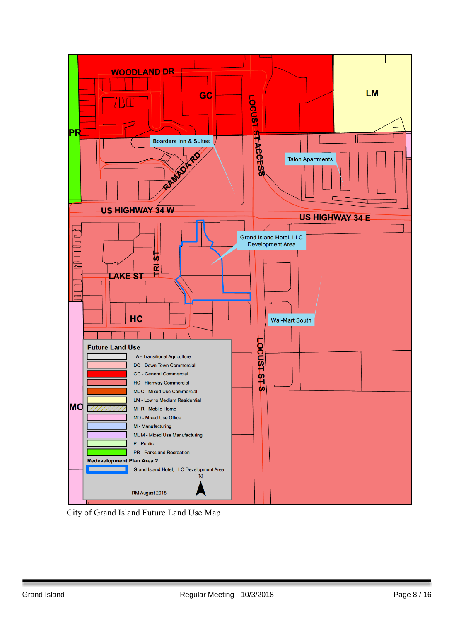

City of Grand Island Future Land Use Map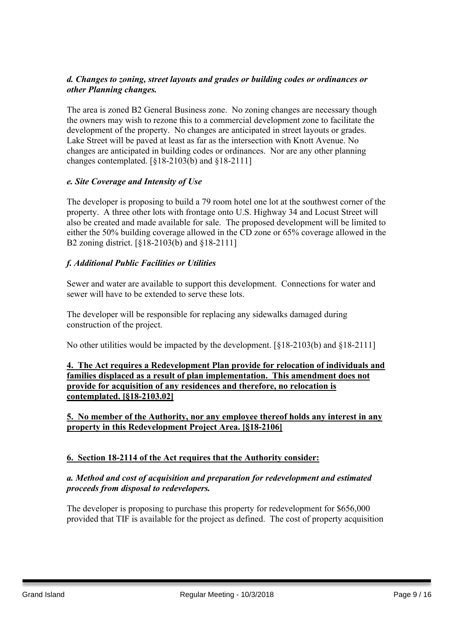## *d. Changes to zoning, street layouts and grades or building codes or ordinances or other Planning changes.*

The area is zoned B2 General Business zone. No zoning changes are necessary though the owners may wish to rezone this to a commercial development zone to facilitate the development of the property. No changes are anticipated in street layouts or grades. Lake Street will be paved at least as far as the intersection with Knott Avenue. No changes are anticipated in building codes or ordinances. Nor are any other planning changes contemplated. [§18-2103(b) and §18-2111]

## *e. Site Coverage and Intensity of Use*

The developer is proposing to build a 79 room hotel one lot at the southwest corner of the property. A three other lots with frontage onto U.S. Highway 34 and Locust Street will also be created and made available for sale. The proposed development will be limited to either the 50% building coverage allowed in the CD zone or 65% coverage allowed in the B2 zoning district. [§18-2103(b) and §18-2111]

## *f. Additional Public Facilities or Utilities*

Sewer and water are available to support this development. Connections for water and sewer will have to be extended to serve these lots.

The developer will be responsible for replacing any sidewalks damaged during construction of the project.

No other utilities would be impacted by the development. [§18-2103(b) and §18-2111]

## **4. The Act requires a Redevelopment Plan provide for relocation of individuals and families displaced as a result of plan implementation. This amendment does not provide for acquisition of any residences and therefore, no relocation is contemplated. [§18-2103.02]**

**5. No member of the Authority, nor any employee thereof holds any interest in any property in this Redevelopment Project Area. [§18-2106]**

## **6. Section 18-2114 of the Act requires that the Authority consider:**

## *a. Method and cost of acquisition and preparation for redevelopment and estimated proceeds from disposal to redevelopers.*

The developer is proposing to purchase this property for redevelopment for \$656,000 provided that TIF is available for the project as defined. The cost of property acquisition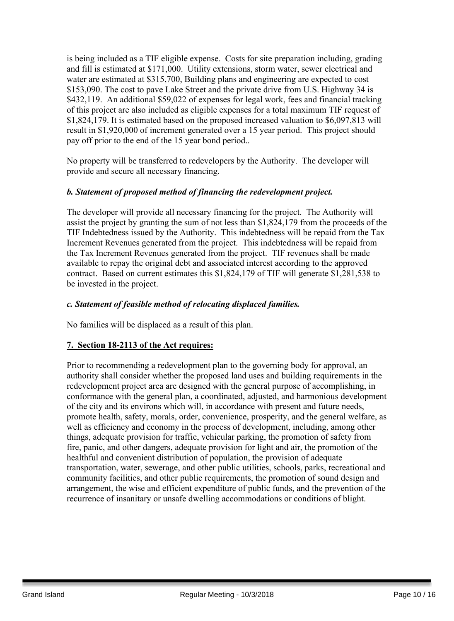is being included as a TIF eligible expense. Costs for site preparation including, grading and fill is estimated at \$171,000. Utility extensions, storm water, sewer electrical and water are estimated at \$315,700, Building plans and engineering are expected to cost \$153,090. The cost to pave Lake Street and the private drive from U.S. Highway 34 is \$432,119. An additional \$59,022 of expenses for legal work, fees and financial tracking of this project are also included as eligible expenses for a total maximum TIF request of \$1,824,179. It is estimated based on the proposed increased valuation to \$6,097,813 will result in \$1,920,000 of increment generated over a 15 year period. This project should pay off prior to the end of the 15 year bond period..

No property will be transferred to redevelopers by the Authority. The developer will provide and secure all necessary financing.

## *b. Statement of proposed method of financing the redevelopment project.*

The developer will provide all necessary financing for the project. The Authority will assist the project by granting the sum of not less than \$1,824,179 from the proceeds of the TIF Indebtedness issued by the Authority. This indebtedness will be repaid from the Tax Increment Revenues generated from the project. This indebtedness will be repaid from the Tax Increment Revenues generated from the project. TIF revenues shall be made available to repay the original debt and associated interest according to the approved contract. Based on current estimates this \$1,824,179 of TIF will generate \$1,281,538 to be invested in the project.

## *c. Statement of feasible method of relocating displaced families.*

No families will be displaced as a result of this plan.

## **7. Section 18-2113 of the Act requires:**

Prior to recommending a redevelopment plan to the governing body for approval, an authority shall consider whether the proposed land uses and building requirements in the redevelopment project area are designed with the general purpose of accomplishing, in conformance with the general plan, a coordinated, adjusted, and harmonious development of the city and its environs which will, in accordance with present and future needs, promote health, safety, morals, order, convenience, prosperity, and the general welfare, as well as efficiency and economy in the process of development, including, among other things, adequate provision for traffic, vehicular parking, the promotion of safety from fire, panic, and other dangers, adequate provision for light and air, the promotion of the healthful and convenient distribution of population, the provision of adequate transportation, water, sewerage, and other public utilities, schools, parks, recreational and community facilities, and other public requirements, the promotion of sound design and arrangement, the wise and efficient expenditure of public funds, and the prevention of the recurrence of insanitary or unsafe dwelling accommodations or conditions of blight.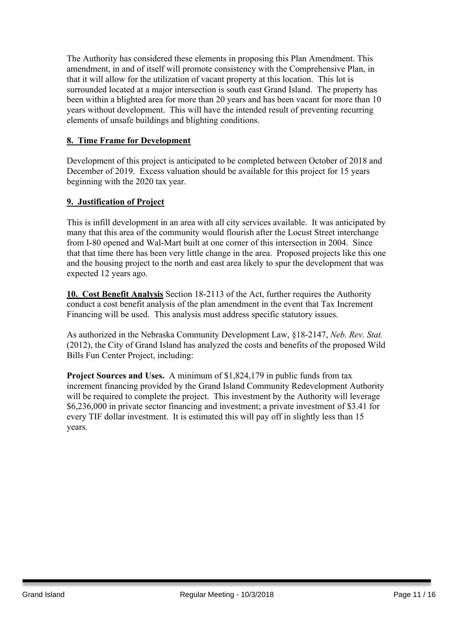The Authority has considered these elements in proposing this Plan Amendment. This amendment, in and of itself will promote consistency with the Comprehensive Plan, in that it will allow for the utilization of vacant property at this location. This lot is surrounded located at a major intersection is south east Grand Island. The property has been within a blighted area for more than 20 years and has been vacant for more than 10 years without development. This will have the intended result of preventing recurring elements of unsafe buildings and blighting conditions.

## **8. Time Frame for Development**

Development of this project is anticipated to be completed between October of 2018 and December of 2019. Excess valuation should be available for this project for 15 years beginning with the 2020 tax year.

## **9. Justification of Project**

This is infill development in an area with all city services available. It was anticipated by many that this area of the community would flourish after the Locust Street interchange from I-80 opened and Wal-Mart built at one corner of this intersection in 2004. Since that that time there has been very little change in the area. Proposed projects like this one and the housing project to the north and east area likely to spur the development that was expected 12 years ago.

**10. Cost Benefit Analysis** Section 18-2113 of the Act, further requires the Authority conduct a cost benefit analysis of the plan amendment in the event that Tax Increment Financing will be used. This analysis must address specific statutory issues.

As authorized in the Nebraska Community Development Law, §18-2147, *Neb. Rev. Stat.* (2012), the City of Grand Island has analyzed the costs and benefits of the proposed Wild Bills Fun Center Project, including:

**Project Sources and Uses.** A minimum of \$1,824,179 in public funds from tax increment financing provided by the Grand Island Community Redevelopment Authority will be required to complete the project. This investment by the Authority will leverage \$6,236,000 in private sector financing and investment; a private investment of \$3.41 for every TIF dollar investment. It is estimated this will pay off in slightly less than 15 years.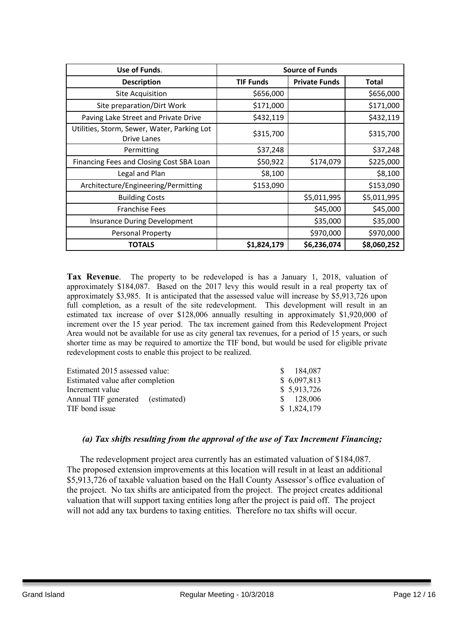| Use of Funds.                                                     | <b>Source of Funds</b> |                      |             |  |
|-------------------------------------------------------------------|------------------------|----------------------|-------------|--|
| <b>Description</b>                                                | <b>TIF Funds</b>       | <b>Private Funds</b> | Total       |  |
| Site Acquisition                                                  | \$656,000              |                      | \$656,000   |  |
| Site preparation/Dirt Work                                        | \$171,000              |                      | \$171,000   |  |
| Paving Lake Street and Private Drive                              | \$432,119              |                      | \$432,119   |  |
| Utilities, Storm, Sewer, Water, Parking Lot<br><b>Drive Lanes</b> | \$315,700              |                      | \$315,700   |  |
| Permitting                                                        | \$37,248               |                      | \$37,248    |  |
| Financing Fees and Closing Cost SBA Loan                          | \$50,922               | \$174,079            | \$225,000   |  |
| Legal and Plan                                                    | \$8,100                |                      | \$8,100     |  |
| Architecture/Engineering/Permitting                               | \$153,090              |                      | \$153,090   |  |
| <b>Building Costs</b>                                             |                        | \$5,011,995          | \$5,011,995 |  |
| <b>Franchise Fees</b>                                             |                        | \$45,000             | \$45,000    |  |
| <b>Insurance During Development</b>                               |                        | \$35,000             | \$35,000    |  |
| Personal Property                                                 |                        | \$970,000            | \$970,000   |  |
| <b>TOTALS</b>                                                     | \$1,824,179            | \$6,236,074          | \$8,060,252 |  |

**Tax Revenue**. The property to be redeveloped is has a January 1, 2018, valuation of approximately \$184,087. Based on the 2017 levy this would result in a real property tax of approximately \$3,985. It is anticipated that the assessed value will increase by \$5,913,726 upon full completion, as a result of the site redevelopment. This development will result in an estimated tax increase of over \$128,006 annually resulting in approximately \$1,920,000 of increment over the 15 year period. The tax increment gained from this Redevelopment Project Area would not be available for use as city general tax revenues, for a period of 15 years, or such shorter time as may be required to amortize the TIF bond, but would be used for eligible private redevelopment costs to enable this project to be realized.

| Estimated 2015 assessed value:   | \$ 184,087  |
|----------------------------------|-------------|
| Estimated value after completion | \$6,097,813 |
| Increment value                  | \$5,913,726 |
| Annual TIF generated (estimated) | \$128,006   |
| TIF bond issue                   | \$1,824,179 |

#### *(a) Tax shifts resulting from the approval of the use of Tax Increment Financing;*

The redevelopment project area currently has an estimated valuation of \$184,087. The proposed extension improvements at this location will result in at least an additional \$5,913,726 of taxable valuation based on the Hall County Assessor's office evaluation of the project. No tax shifts are anticipated from the project. The project creates additional valuation that will support taxing entities long after the project is paid off. The project will not add any tax burdens to taxing entities. Therefore no tax shifts will occur.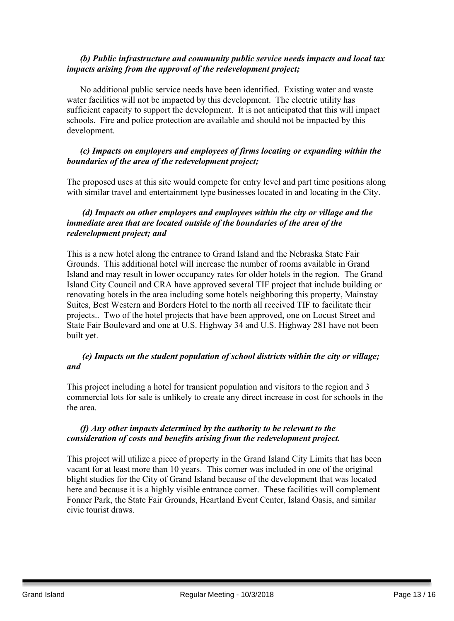## *(b) Public infrastructure and community public service needs impacts and local tax impacts arising from the approval of the redevelopment project;*

No additional public service needs have been identified. Existing water and waste water facilities will not be impacted by this development. The electric utility has sufficient capacity to support the development. It is not anticipated that this will impact schools. Fire and police protection are available and should not be impacted by this development.

## *(c) Impacts on employers and employees of firms locating or expanding within the boundaries of the area of the redevelopment project;*

The proposed uses at this site would compete for entry level and part time positions along with similar travel and entertainment type businesses located in and locating in the City.

## *(d) Impacts on other employers and employees within the city or village and the immediate area that are located outside of the boundaries of the area of the redevelopment project; and*

This is a new hotel along the entrance to Grand Island and the Nebraska State Fair Grounds. This additional hotel will increase the number of rooms available in Grand Island and may result in lower occupancy rates for older hotels in the region. The Grand Island City Council and CRA have approved several TIF project that include building or renovating hotels in the area including some hotels neighboring this property, Mainstay Suites, Best Western and Borders Hotel to the north all received TIF to facilitate their projects.. Two of the hotel projects that have been approved, one on Locust Street and State Fair Boulevard and one at U.S. Highway 34 and U.S. Highway 281 have not been built yet.

## *(e) Impacts on the student population of school districts within the city or village; and*

This project including a hotel for transient population and visitors to the region and 3 commercial lots for sale is unlikely to create any direct increase in cost for schools in the the area.

## *(f) Any other impacts determined by the authority to be relevant to the consideration of costs and benefits arising from the redevelopment project.*

This project will utilize a piece of property in the Grand Island City Limits that has been vacant for at least more than 10 years. This corner was included in one of the original blight studies for the City of Grand Island because of the development that was located here and because it is a highly visible entrance corner. These facilities will complement Fonner Park, the State Fair Grounds, Heartland Event Center, Island Oasis, and similar civic tourist draws.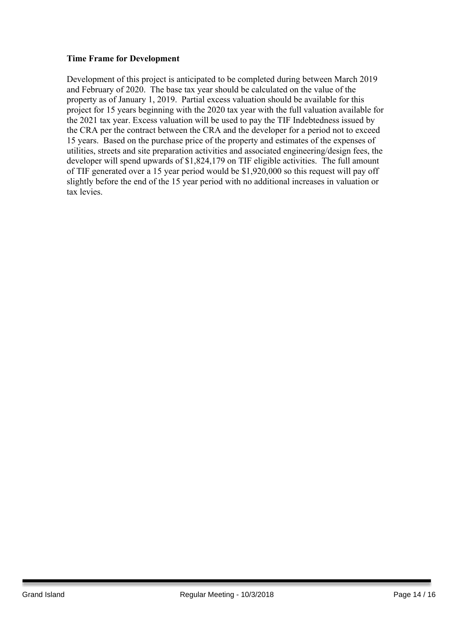## **Time Frame for Development**

Development of this project is anticipated to be completed during between March 2019 and February of 2020. The base tax year should be calculated on the value of the property as of January 1, 2019. Partial excess valuation should be available for this project for 15 years beginning with the 2020 tax year with the full valuation available for the 2021 tax year. Excess valuation will be used to pay the TIF Indebtedness issued by the CRA per the contract between the CRA and the developer for a period not to exceed 15 years. Based on the purchase price of the property and estimates of the expenses of utilities, streets and site preparation activities and associated engineering/design fees, the developer will spend upwards of \$1,824,179 on TIF eligible activities. The full amount of TIF generated over a 15 year period would be \$1,920,000 so this request will pay off slightly before the end of the 15 year period with no additional increases in valuation or tax levies.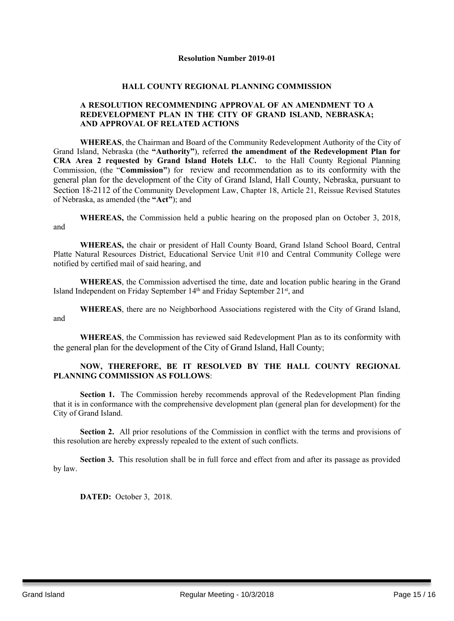#### **Resolution Number 2019-01**

#### **HALL COUNTY REGIONAL PLANNING COMMISSION**

#### **A RESOLUTION RECOMMENDING APPROVAL OF AN AMENDMENT TO A REDEVELOPMENT PLAN IN THE CITY OF GRAND ISLAND, NEBRASKA; AND APPROVAL OF RELATED ACTIONS**

**WHEREAS**, the Chairman and Board of the Community Redevelopment Authority of the City of Grand Island, Nebraska (the **"Authority"**), referred **the amendment of the Redevelopment Plan for CRA Area 2 requested by Grand Island Hotels LLC.** to the Hall County Regional Planning Commission, (the "**Commission"**) for review and recommendation as to its conformity with the general plan for the development of the City of Grand Island, Hall County, Nebraska, pursuant to Section 18-2112 of the Community Development Law, Chapter 18, Article 21, Reissue Revised Statutes of Nebraska, as amended (the **"Act"**); and

**WHEREAS,** the Commission held a public hearing on the proposed plan on October 3, 2018, and

**WHEREAS,** the chair or president of Hall County Board, Grand Island School Board, Central Platte Natural Resources District, Educational Service Unit #10 and Central Community College were notified by certified mail of said hearing, and

**WHEREAS**, the Commission advertised the time, date and location public hearing in the Grand Island Independent on Friday September 14<sup>th</sup> and Friday September 21<sup>st</sup>, and

**WHEREAS**, there are no Neighborhood Associations registered with the City of Grand Island, and

**WHEREAS**, the Commission has reviewed said Redevelopment Plan as to its conformity with the general plan for the development of the City of Grand Island, Hall County;

#### **NOW, THEREFORE, BE IT RESOLVED BY THE HALL COUNTY REGIONAL PLANNING COMMISSION AS FOLLOWS**:

**Section 1.** The Commission hereby recommends approval of the Redevelopment Plan finding that it is in conformance with the comprehensive development plan (general plan for development) for the City of Grand Island.

**Section 2.** All prior resolutions of the Commission in conflict with the terms and provisions of this resolution are hereby expressly repealed to the extent of such conflicts.

**Section 3.** This resolution shall be in full force and effect from and after its passage as provided by law.

**DATED:** October 3, 2018.